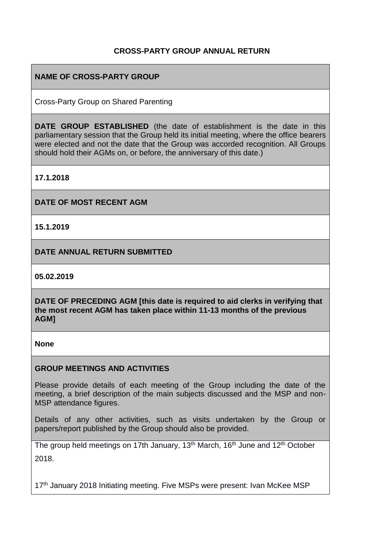### **CROSS-PARTY GROUP ANNUAL RETURN**

## **NAME OF CROSS-PARTY GROUP**

Cross-Party Group on Shared Parenting

**DATE GROUP ESTABLISHED** (the date of establishment is the date in this parliamentary session that the Group held its initial meeting, where the office bearers were elected and not the date that the Group was accorded recognition. All Groups should hold their AGMs on, or before, the anniversary of this date.)

**17.1.2018**

**DATE OF MOST RECENT AGM**

**15.1.2019**

**DATE ANNUAL RETURN SUBMITTED**

**05.02.2019**

**DATE OF PRECEDING AGM [this date is required to aid clerks in verifying that the most recent AGM has taken place within 11-13 months of the previous AGM]**

**None**

#### **GROUP MEETINGS AND ACTIVITIES**

Please provide details of each meeting of the Group including the date of the meeting, a brief description of the main subjects discussed and the MSP and non-MSP attendance figures.

Details of any other activities, such as visits undertaken by the Group or papers/report published by the Group should also be provided.

The group held meetings on 17th January, 13<sup>th</sup> March, 16<sup>th</sup> June and 12<sup>th</sup> October 2018.

17<sup>th</sup> January 2018 Initiating meeting. Five MSPs were present: Ivan McKee MSP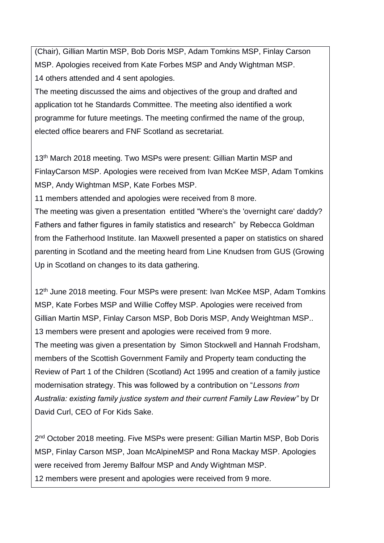(Chair), Gillian Martin MSP, Bob Doris MSP, Adam Tomkins MSP, Finlay Carson MSP. Apologies received from Kate Forbes MSP and Andy Wightman MSP. 14 others attended and 4 sent apologies.

The meeting discussed the aims and objectives of the group and drafted and application tot he Standards Committee. The meeting also identified a work programme for future meetings. The meeting confirmed the name of the group, elected office bearers and FNF Scotland as secretariat.

13<sup>th</sup> March 2018 meeting. Two MSPs were present: Gillian Martin MSP and FinlayCarson MSP. Apologies were received from Ivan McKee MSP, Adam Tomkins MSP, Andy Wightman MSP, Kate Forbes MSP.

11 members attended and apologies were received from 8 more.

The meeting was given a presentation entitled "Where's the 'overnight care' daddy? Fathers and father figures in family statistics and research" by Rebecca Goldman from the Fatherhood Institute. Ian Maxwell presented a paper on statistics on shared parenting in Scotland and the meeting heard from Line Knudsen from GUS (Growing Up in Scotland on changes to its data gathering.

12<sup>th</sup> June 2018 meeting. Four MSPs were present: Ivan McKee MSP, Adam Tomkins MSP, Kate Forbes MSP and Willie Coffey MSP. Apologies were received from Gillian Martin MSP, Finlay Carson MSP, Bob Doris MSP, Andy Weightman MSP.. 13 members were present and apologies were received from 9 more. The meeting was given a presentation by Simon Stockwell and Hannah Frodsham, members of the Scottish Government Family and Property team conducting the Review of Part 1 of the Children (Scotland) Act 1995 and creation of a family justice modernisation strategy. This was followed by a contribution on "*Lessons from Australia: existing family justice system and their current Family Law Review"* by Dr David Curl, CEO of For Kids Sake.

2<sup>nd</sup> October 2018 meeting. Five MSPs were present: Gillian Martin MSP, Bob Doris MSP, Finlay Carson MSP, Joan McAlpineMSP and Rona Mackay MSP. Apologies were received from Jeremy Balfour MSP and Andy Wightman MSP. 12 members were present and apologies were received from 9 more.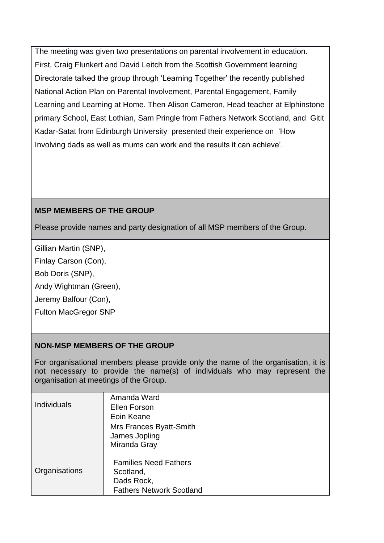The meeting was given two presentations on parental involvement in education. First, Craig Flunkert and David Leitch from the Scottish Government learning Directorate talked the group through 'Learning Together' the recently published National Action Plan on Parental Involvement, Parental Engagement, Family Learning and Learning at Home. Then Alison Cameron, Head teacher at Elphinstone primary School, East Lothian, Sam Pringle from Fathers Network Scotland, and Gitit Kadar-Satat from Edinburgh University presented their experience on 'How Involving dads as well as mums can work and the results it can achieve'.

# **MSP MEMBERS OF THE GROUP**

Please provide names and party designation of all MSP members of the Group.

Gillian Martin (SNP),

Finlay Carson (Con),

Bob Doris (SNP),

Andy Wightman (Green),

Jeremy Balfour (Con),

Fulton MacGregor SNP

### **NON-MSP MEMBERS OF THE GROUP**

For organisational members please provide only the name of the organisation, it is not necessary to provide the name(s) of individuals who may represent the organisation at meetings of the Group.

| <b>Individuals</b> | Amanda Ward<br>Ellen Forson<br>Eoin Keane<br>Mrs Frances Byatt-Smith<br>James Jopling<br>Miranda Gray |
|--------------------|-------------------------------------------------------------------------------------------------------|
| Organisations      | <b>Families Need Fathers</b><br>Scotland,<br>Dads Rock,<br><b>Fathers Network Scotland</b>            |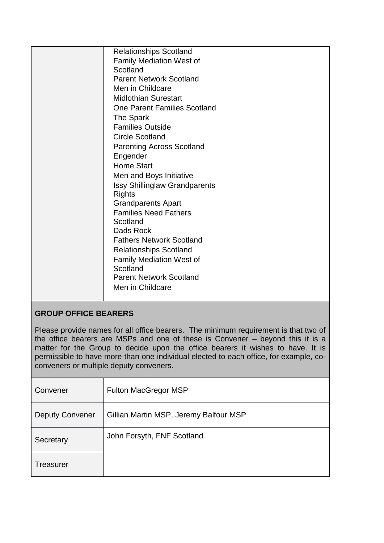| Men in Childcare<br><b>Midlothian Surestart</b><br><b>One Parent Families Scotland</b><br>The Spark<br><b>Families Outside</b><br><b>Circle Scotland</b><br><b>Parenting Across Scotland</b><br>Engender<br><b>Home Start</b><br>Men and Boys Initiative<br><b>Issy Shillinglaw Grandparents</b><br><b>Rights</b><br><b>Grandparents Apart</b><br><b>Families Need Fathers</b><br>Scotland<br>Dads Rock<br><b>Fathers Network Scotland</b><br><b>Relationships Scotland</b><br>Family Mediation West of<br>Scotland<br><b>Parent Network Scotland</b><br>Men in Childcare |
|---------------------------------------------------------------------------------------------------------------------------------------------------------------------------------------------------------------------------------------------------------------------------------------------------------------------------------------------------------------------------------------------------------------------------------------------------------------------------------------------------------------------------------------------------------------------------|
|---------------------------------------------------------------------------------------------------------------------------------------------------------------------------------------------------------------------------------------------------------------------------------------------------------------------------------------------------------------------------------------------------------------------------------------------------------------------------------------------------------------------------------------------------------------------------|

# **GROUP OFFICE BEARERS**

Please provide names for all office bearers. The minimum requirement is that two of the office bearers are MSPs and one of these is Convener – beyond this it is a matter for the Group to decide upon the office bearers it wishes to have. It is permissible to have more than one individual elected to each office, for example, coconveners or multiple deputy conveners.

| Convener               | <b>Fulton MacGregor MSP</b>            |
|------------------------|----------------------------------------|
| <b>Deputy Convener</b> | Gillian Martin MSP, Jeremy Balfour MSP |
| Secretary              | John Forsyth, FNF Scotland             |
| Treasurer              |                                        |